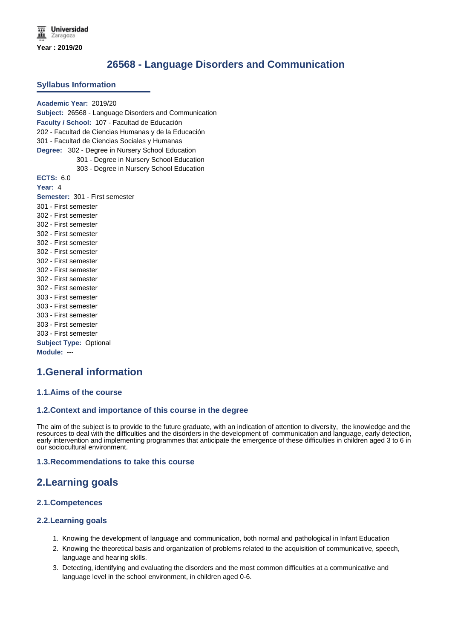# **26568 - Language Disorders and Communication**

#### **Syllabus Information**

**Academic Year:** 2019/20 **Subject:** 26568 - Language Disorders and Communication **Faculty / School:** 107 - Facultad de Educación 202 - Facultad de Ciencias Humanas y de la Educación 301 - Facultad de Ciencias Sociales y Humanas **Degree:** 302 - Degree in Nursery School Education 301 - Degree in Nursery School Education 303 - Degree in Nursery School Education **ECTS:** 6.0 **Year:** 4 **Semester:** 301 - First semester 301 - First semester 302 - First semester 302 - First semester 302 - First semester 302 - First semester 302 - First semester 302 - First semester 302 - First semester 302 - First semester 302 - First semester 303 - First semester 303 - First semester 303 - First semester 303 - First semester 303 - First semester **Subject Type:** Optional **Module:** ---

# **1.General information**

#### **1.1.Aims of the course**

#### **1.2.Context and importance of this course in the degree**

The aim of the subject is to provide to the future graduate, with an indication of attention to diversity, the knowledge and the resources to deal with the difficulties and the disorders in the development of communication and language, early detection, early intervention and implementing programmes that anticipate the emergence of these difficulties in children aged 3 to 6 in our sociocultural environment.

#### **1.3.Recommendations to take this course**

## **2.Learning goals**

### **2.1.Competences**

### **2.2.Learning goals**

- 1. Knowing the development of language and communication, both normal and pathological in Infant Education
- 2. Knowing the theoretical basis and organization of problems related to the acquisition of communicative, speech, language and hearing skills.
- 3. Detecting, identifying and evaluating the disorders and the most common difficulties at a communicative and language level in the school environment, in children aged 0-6.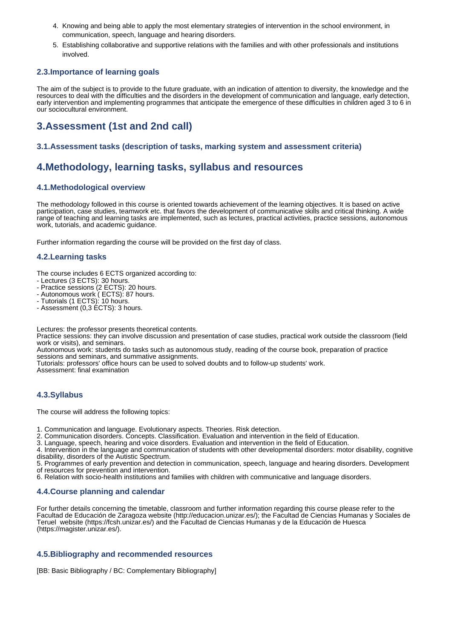- 4. Knowing and being able to apply the most elementary strategies of intervention in the school environment, in communication, speech, language and hearing disorders.
- 5. Establishing collaborative and supportive relations with the families and with other professionals and institutions involved.

#### **2.3.Importance of learning goals**

The aim of the subject is to provide to the future graduate, with an indication of attention to diversity, the knowledge and the resources to deal with the difficulties and the disorders in the development of communication and language, early detection, early intervention and implementing programmes that anticipate the emergence of these difficulties in children aged 3 to 6 in our sociocultural environment.

# **3.Assessment (1st and 2nd call)**

#### **3.1.Assessment tasks (description of tasks, marking system and assessment criteria)**

## **4.Methodology, learning tasks, syllabus and resources**

#### **4.1.Methodological overview**

The methodology followed in this course is oriented towards achievement of the learning objectives. It is based on active participation, case studies, teamwork etc. that favors the development of communicative skills and critical thinking. A wide range of teaching and learning tasks are implemented, such as lectures, practical activities, practice sessions, autonomous work, tutorials, and academic guidance.

Further information regarding the course will be provided on the first day of class.

#### **4.2.Learning tasks**

The course includes 6 ECTS organized according to:

- Lectures (3 ECTS): 30 hours.
- Practice sessions (2 ECTS): 20 hours.
- Autonomous work ( ECTS): 87 hours.
- Tutorials (1 ECTS): 10 hours.
- Assessment (0,3 ECTS): 3 hours.

Lectures: the professor presents theoretical contents.

Practice sessions: they can involve discussion and presentation of case studies, practical work outside the classroom (field work or visits), and seminars.

Autonomous work: students do tasks such as autonomous study, reading of the course book, preparation of practice sessions and seminars, and summative assignments.

Tutorials: professors' office hours can be used to solved doubts and to follow-up students' work.

Assessment: final examination

### **4.3.Syllabus**

The course will address the following topics:

1. Communication and language. Evolutionary aspects. Theories. Risk detection.

2. Communication disorders. Concepts. Classification. Evaluation and intervention in the field of Education.

3. Language, speech, hearing and voice disorders. Evaluation and intervention in the field of Education.

4. Intervention in the language and communication of students with other developmental disorders: motor disability, cognitive disability, disorders of the Autistic Spectrum.

5. Programmes of early prevention and detection in communication, speech, language and hearing disorders. Development of resources for prevention and intervention.

6. Relation with socio-health institutions and families with children with communicative and language disorders.

#### **4.4.Course planning and calendar**

For further details concerning the timetable, classroom and further information regarding this course please refer to the Facultad de Educación de Zaragoza website (http://educacion.unizar.es/); the Facultad de Ciencias Humanas y Sociales de Teruel website (https://fcsh.unizar.es/) and the Facultad de Ciencias Humanas y de la Educación de Huesca (https://magister.unizar.es/).

#### **4.5.Bibliography and recommended resources**

[BB: Basic Bibliography / BC: Complementary Bibliography]